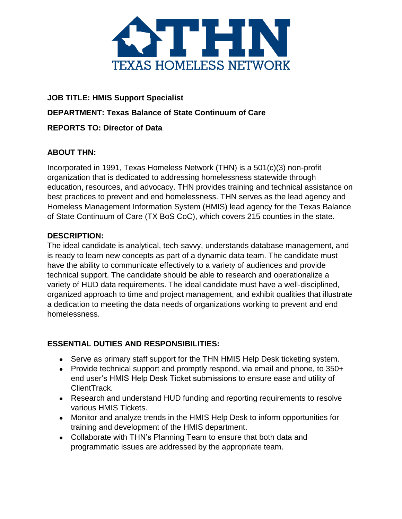

# **JOB TITLE: HMIS Support Specialist DEPARTMENT: Texas Balance of State Continuum of Care REPORTS TO: Director of Data**

## **ABOUT THN:**

Incorporated in 1991, Texas Homeless Network (THN) is a 501(c)(3) non-profit organization that is dedicated to addressing homelessness statewide through education, resources, and advocacy. THN provides training and technical assistance on best practices to prevent and end homelessness. THN serves as the lead agency and Homeless Management Information System (HMIS) lead agency for the Texas Balance of State Continuum of Care (TX BoS CoC), which covers 215 counties in the state.

#### **DESCRIPTION:**

The ideal candidate is analytical, tech-savvy, understands database management, and is ready to learn new concepts as part of a dynamic data team. The candidate must have the ability to communicate effectively to a variety of audiences and provide technical support. The candidate should be able to research and operationalize a variety of HUD data requirements. The ideal candidate must have a well-disciplined, organized approach to time and project management, and exhibit qualities that illustrate a dedication to meeting the data needs of organizations working to prevent and end homelessness.

## **ESSENTIAL DUTIES AND RESPONSIBILITIES:**

- Serve as primary staff support for the THN HMIS Help Desk ticketing system.
- Provide technical support and promptly respond, via email and phone, to 350+ end user's HMIS Help Desk Ticket submissions to ensure ease and utility of ClientTrack.
- Research and understand HUD funding and reporting requirements to resolve various HMIS Tickets.
- Monitor and analyze trends in the HMIS Help Desk to inform opportunities for training and development of the HMIS department.
- Collaborate with THN's Planning Team to ensure that both data and programmatic issues are addressed by the appropriate team.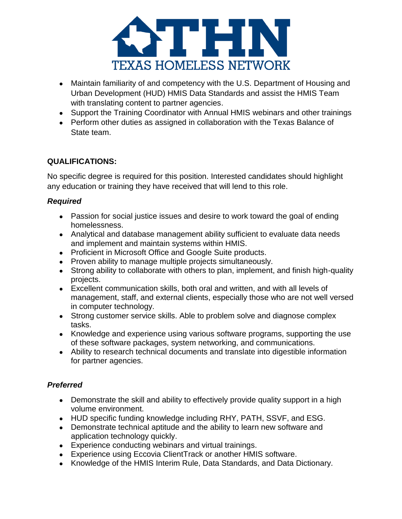

- Maintain familiarity of and competency with the U.S. Department of Housing and Urban Development (HUD) HMIS Data Standards and assist the HMIS Team with translating content to partner agencies.
- Support the Training Coordinator with Annual HMIS webinars and other trainings
- Perform other duties as assigned in collaboration with the Texas Balance of State team.

# **QUALIFICATIONS:**

No specific degree is required for this position. Interested candidates should highlight any education or training they have received that will lend to this role.

## *Required*

- Passion for social justice issues and desire to work toward the goal of ending homelessness.
- Analytical and database management ability sufficient to evaluate data needs and implement and maintain systems within HMIS.
- Proficient in Microsoft Office and Google Suite products.
- Proven ability to manage multiple projects simultaneously.
- Strong ability to collaborate with others to plan, implement, and finish high-quality projects.
- Excellent communication skills, both oral and written, and with all levels of management, staff, and external clients, especially those who are not well versed in computer technology.
- Strong customer service skills. Able to problem solve and diagnose complex tasks.
- Knowledge and experience using various software programs, supporting the use of these software packages, system networking, and communications.
- Ability to research technical documents and translate into digestible information for partner agencies.

# *Preferred*

- Demonstrate the skill and ability to effectively provide quality support in a high volume environment.
- HUD specific funding knowledge including RHY, PATH, SSVF, and ESG.
- Demonstrate technical aptitude and the ability to learn new software and application technology quickly.
- Experience conducting webinars and virtual trainings.
- Experience using Eccovia ClientTrack or another HMIS software.
- Knowledge of the HMIS Interim Rule, Data Standards, and Data Dictionary.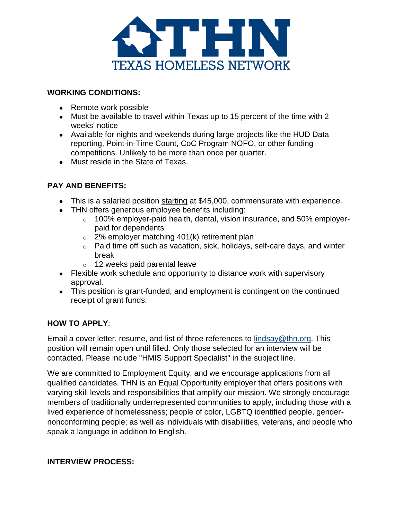

#### **WORKING CONDITIONS:**

- Remote work possible
- Must be available to travel within Texas up to 15 percent of the time with 2 weeks' notice
- Available for nights and weekends during large projects like the HUD Data reporting, Point-in-Time Count, CoC Program NOFO, or other funding competitions. Unlikely to be more than once per quarter.
- Must reside in the State of Texas.

## **PAY AND BENEFITS:**

- This is a salaried position starting at \$45,000, commensurate with experience.
- THN offers generous employee benefits including:
	- o 100% employer-paid health, dental, vision insurance, and 50% employerpaid for dependents
	- $\circ$  2% employer matching 401(k) retirement plan
	- o Paid time off such as vacation, sick, holidays, self-care days, and winter break
	- $\circ$  12 weeks paid parental leave
- Flexible work schedule and opportunity to distance work with supervisory approval.
- This position is grant-funded, and employment is contingent on the continued receipt of grant funds.

## **HOW TO APPLY**:

Email a cover letter, resume, and list of three references to [lindsay@thn.org.](mailto:lindsay@thn.org) This position will remain open until filled. Only those selected for an interview will be contacted. Please include "HMIS Support Specialist" in the subject line.

We are committed to Employment Equity, and we encourage applications from all qualified candidates. THN is an Equal Opportunity employer that offers positions with varying skill levels and responsibilities that amplify our mission. We strongly encourage members of traditionally underrepresented communities to apply, including those with a lived experience of homelessness; people of color, LGBTQ identified people, gendernonconforming people; as well as individuals with disabilities, veterans, and people who speak a language in addition to English.

## **INTERVIEW PROCESS:**